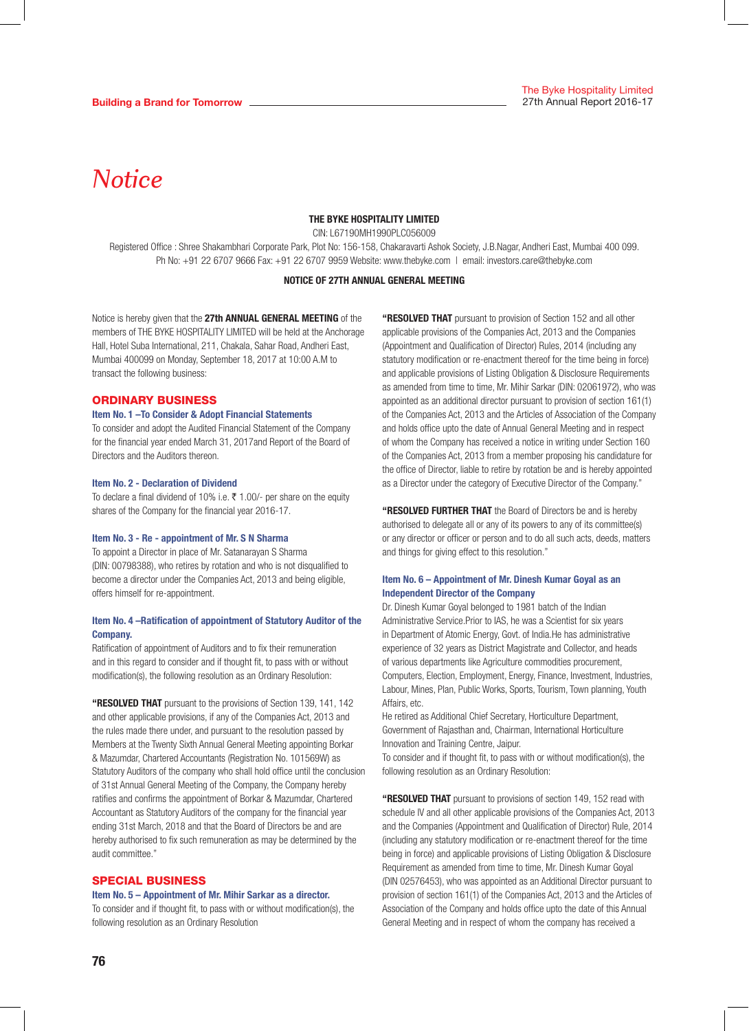THE BYKE HOSPITALITY LIMITED

CIN: L67190MH1990PLC056009

Registered Office : Shree Shakambhari Corporate Park, Plot No: 156-158, Chakaravarti Ashok Society, J.B.Nagar, Andheri East, Mumbai 400 099. Ph No: +91 22 6707 9666 Fax: +91 22 6707 9959 Website: www.thebyke.com | email: investors.care@thebyke.com

#### NOTICE OF 27TH ANNUAL GENERAL MEETING

Notice is hereby given that the 27th ANNUAL GENERAL MEETING of the members of THE BYKE HOSPITALITY LIMITED will be held at the Anchorage Hall, Hotel Suba International, 211, Chakala, Sahar Road, Andheri East, Mumbai 400099 on Monday, September 18, 2017 at 10:00 A.M to transact the following business:

#### ORDINARY BUSINESS

#### Item No. 1 –To Consider & Adopt Financial Statements

To consider and adopt the Audited Financial Statement of the Company for the financial year ended March 31, 2017and Report of the Board of Directors and the Auditors thereon.

#### Item No. 2 - Declaration of Dividend

To declare a final dividend of 10% i.e. ₹ 1.00/- per share on the equity shares of the Company for the financial year 2016-17.

#### Item No. 3 - Re - appointment of Mr. S N Sharma

To appoint a Director in place of Mr. Satanarayan S Sharma (DIN: 00798388), who retires by rotation and who is not disqualified to become a director under the Companies Act, 2013 and being eligible, offers himself for re-appointment.

#### Item No. 4 –Ratification of appointment of Statutory Auditor of the Company.

Ratification of appointment of Auditors and to fix their remuneration and in this regard to consider and if thought fit, to pass with or without modification(s), the following resolution as an Ordinary Resolution:

"RESOLVED THAT pursuant to the provisions of Section 139, 141, 142 and other applicable provisions, if any of the Companies Act, 2013 and the rules made there under, and pursuant to the resolution passed by Members at the Twenty Sixth Annual General Meeting appointing Borkar & Mazumdar, Chartered Accountants (Registration No. 101569W) as Statutory Auditors of the company who shall hold office until the conclusion of 31st Annual General Meeting of the Company, the Company hereby ratifies and confirms the appointment of Borkar & Mazumdar, Chartered Accountant as Statutory Auditors of the company for the financial year ending 31st March, 2018 and that the Board of Directors be and are hereby authorised to fix such remuneration as may be determined by the audit committee."

#### SPECIAL BUSINESS

#### Item No. 5 – Appointment of Mr. Mihir Sarkar as a director.

To consider and if thought fit, to pass with or without modification(s), the following resolution as an Ordinary Resolution

"RESOLVED THAT pursuant to provision of Section 152 and all other applicable provisions of the Companies Act, 2013 and the Companies (Appointment and Qualification of Director) Rules, 2014 (including any statutory modification or re-enactment thereof for the time being in force) and applicable provisions of Listing Obligation & Disclosure Requirements as amended from time to time, Mr. Mihir Sarkar (DIN: 02061972), who was appointed as an additional director pursuant to provision of section 161(1) of the Companies Act, 2013 and the Articles of Association of the Company and holds office upto the date of Annual General Meeting and in respect of whom the Company has received a notice in writing under Section 160 of the Companies Act, 2013 from a member proposing his candidature for the office of Director, liable to retire by rotation be and is hereby appointed as a Director under the category of Executive Director of the Company."

"RESOLVED FURTHER THAT the Board of Directors be and is hereby authorised to delegate all or any of its powers to any of its committee(s) or any director or officer or person and to do all such acts, deeds, matters and things for giving effect to this resolution."

#### Item No. 6 – Appointment of Mr. Dinesh Kumar Goyal as an Independent Director of the Company

Dr. Dinesh Kumar Goyal belonged to 1981 batch of the Indian Administrative Service.Prior to IAS, he was a Scientist for six years in Department of Atomic Energy, Govt. of India.He has administrative experience of 32 years as District Magistrate and Collector, and heads of various departments like Agriculture commodities procurement, Computers, Election, Employment, Energy, Finance, Investment, Industries, Labour, Mines, Plan, Public Works, Sports, Tourism, Town planning, Youth Affairs, etc.

He retired as Additional Chief Secretary, Horticulture Department, Government of Rajasthan and, Chairman, International Horticulture Innovation and Training Centre, Jaipur.

To consider and if thought fit, to pass with or without modification(s), the following resolution as an Ordinary Resolution:

**"RESOLVED THAT** pursuant to provisions of section 149, 152 read with schedule IV and all other applicable provisions of the Companies Act, 2013 and the Companies (Appointment and Qualification of Director) Rule, 2014 (including any statutory modification or re-enactment thereof for the time being in force) and applicable provisions of Listing Obligation & Disclosure Requirement as amended from time to time, Mr. Dinesh Kumar Goyal (DIN 02576453), who was appointed as an Additional Director pursuant to provision of section 161(1) of the Companies Act, 2013 and the Articles of Association of the Company and holds office upto the date of this Annual General Meeting and in respect of whom the company has received a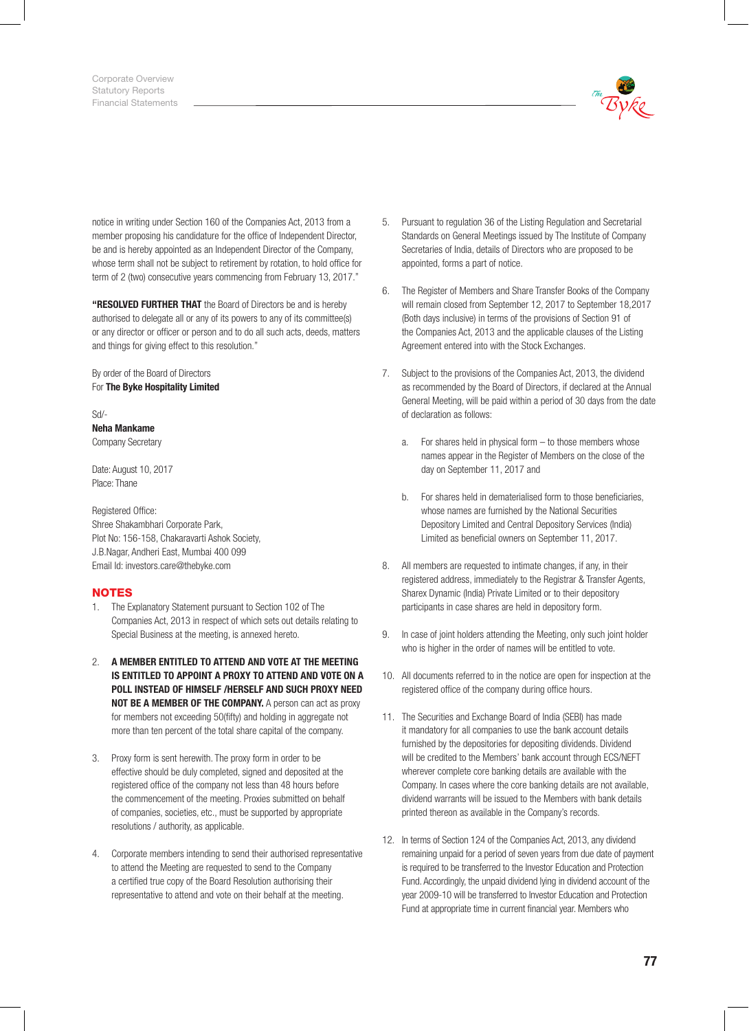

notice in writing under Section 160 of the Companies Act, 2013 from a member proposing his candidature for the office of Independent Director, be and is hereby appointed as an Independent Director of the Company, whose term shall not be subject to retirement by rotation, to hold office for term of 2 (two) consecutive years commencing from February 13, 2017."

"RESOLVED FURTHER THAT the Board of Directors be and is hereby authorised to delegate all or any of its powers to any of its committee(s) or any director or officer or person and to do all such acts, deeds, matters and things for giving effect to this resolution."

By order of the Board of Directors For The Byke Hospitality Limited

Sd/- Neha Mankame Company Secretary

Date: August 10, 2017 Place: Thane

Registered Office: Shree Shakambhari Corporate Park, Plot No: 156-158, Chakaravarti Ashok Society, J.B.Nagar, Andheri East, Mumbai 400 099 Email Id: investors.care@thebyke.com

## **NOTES**

- 1. The Explanatory Statement pursuant to Section 102 of The Companies Act, 2013 in respect of which sets out details relating to Special Business at the meeting, is annexed hereto.
- 2. A MEMBER ENTITLED TO ATTEND AND VOTE AT THE MEETING IS ENTITLED TO APPOINT A PROXY TO ATTEND AND VOTE ON A POLL INSTEAD OF HIMSELF /HERSELF AND SUCH PROXY NEED NOT BE A MEMBER OF THE COMPANY. A person can act as proxy for members not exceeding 50(fifty) and holding in aggregate not more than ten percent of the total share capital of the company.
- 3. Proxy form is sent herewith. The proxy form in order to be effective should be duly completed, signed and deposited at the registered office of the company not less than 48 hours before the commencement of the meeting. Proxies submitted on behalf of companies, societies, etc., must be supported by appropriate resolutions / authority, as applicable.
- 4. Corporate members intending to send their authorised representative to attend the Meeting are requested to send to the Company a certified true copy of the Board Resolution authorising their representative to attend and vote on their behalf at the meeting.
- 5. Pursuant to regulation 36 of the Listing Regulation and Secretarial Standards on General Meetings issued by The Institute of Company Secretaries of India, details of Directors who are proposed to be appointed, forms a part of notice.
- 6. The Register of Members and Share Transfer Books of the Company will remain closed from September 12, 2017 to September 18,2017 (Both days inclusive) in terms of the provisions of Section 91 of the Companies Act, 2013 and the applicable clauses of the Listing Agreement entered into with the Stock Exchanges.
- 7. Subject to the provisions of the Companies Act, 2013, the dividend as recommended by the Board of Directors, if declared at the Annual General Meeting, will be paid within a period of 30 days from the date of declaration as follows:
	- a. For shares held in physical form to those members whose names appear in the Register of Members on the close of the day on September 11, 2017 and
	- b. For shares held in dematerialised form to those beneficiaries, whose names are furnished by the National Securities Depository Limited and Central Depository Services (India) Limited as beneficial owners on September 11, 2017.
- 8. All members are requested to intimate changes, if any, in their registered address, immediately to the Registrar & Transfer Agents, Sharex Dynamic (India) Private Limited or to their depository participants in case shares are held in depository form.
- 9. In case of joint holders attending the Meeting, only such joint holder who is higher in the order of names will be entitled to vote.
- 10. All documents referred to in the notice are open for inspection at the registered office of the company during office hours.
- 11. The Securities and Exchange Board of India (SEBI) has made it mandatory for all companies to use the bank account details furnished by the depositories for depositing dividends. Dividend will be credited to the Members' bank account through ECS/NEFT wherever complete core banking details are available with the Company. In cases where the core banking details are not available, dividend warrants will be issued to the Members with bank details printed thereon as available in the Company's records.
- 12. In terms of Section 124 of the Companies Act, 2013, any dividend remaining unpaid for a period of seven years from due date of payment is required to be transferred to the Investor Education and Protection Fund. Accordingly, the unpaid dividend lying in dividend account of the year 2009-10 will be transferred to Investor Education and Protection Fund at appropriate time in current financial year. Members who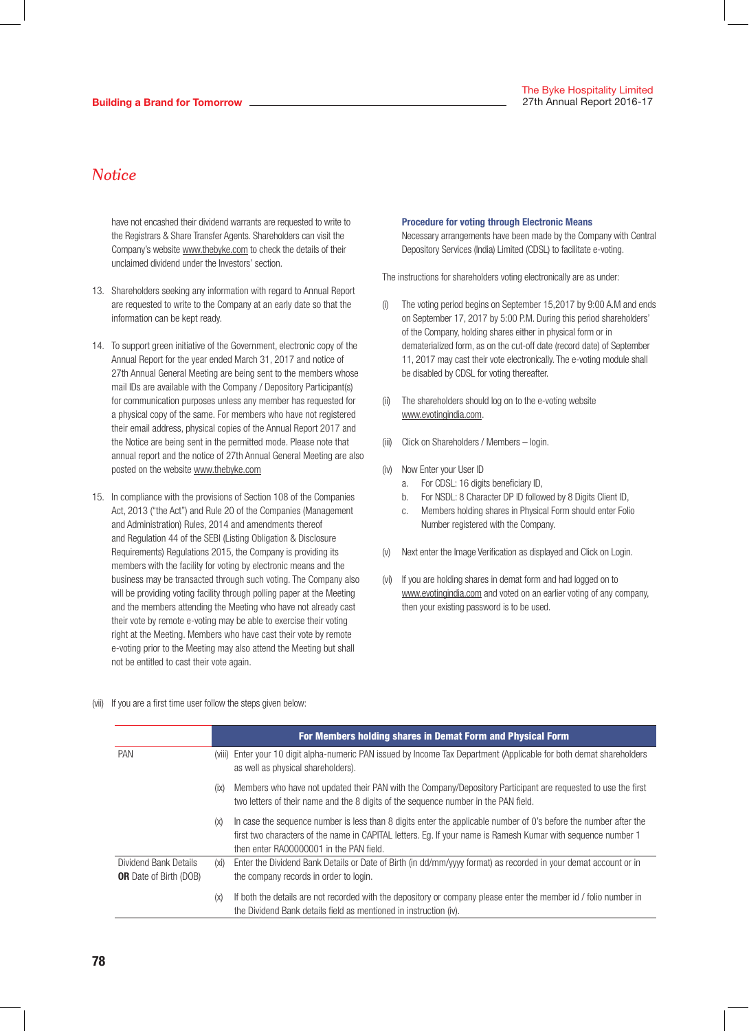have not encashed their dividend warrants are requested to write to the Registrars & Share Transfer Agents. Shareholders can visit the Company's website www.thebyke.com to check the details of their unclaimed dividend under the Investors' section.

- 13. Shareholders seeking any information with regard to Annual Report are requested to write to the Company at an early date so that the information can be kept ready.
- 14. To support green initiative of the Government, electronic copy of the Annual Report for the year ended March 31, 2017 and notice of 27th Annual General Meeting are being sent to the members whose mail IDs are available with the Company / Depository Participant(s) for communication purposes unless any member has requested for a physical copy of the same. For members who have not registered their email address, physical copies of the Annual Report 2017 and the Notice are being sent in the permitted mode. Please note that annual report and the notice of 27th Annual General Meeting are also posted on the website www.thebyke.com
- 15. In compliance with the provisions of Section 108 of the Companies Act, 2013 ("the Act") and Rule 20 of the Companies (Management and Administration) Rules, 2014 and amendments thereof and Regulation 44 of the SEBI (Listing Obligation & Disclosure Requirements) Regulations 2015, the Company is providing its members with the facility for voting by electronic means and the business may be transacted through such voting. The Company also will be providing voting facility through polling paper at the Meeting and the members attending the Meeting who have not already cast their vote by remote e-voting may be able to exercise their voting right at the Meeting. Members who have cast their vote by remote e-voting prior to the Meeting may also attend the Meeting but shall not be entitled to cast their vote again.

#### Procedure for voting through Electronic Means

 Necessary arrangements have been made by the Company with Central Depository Services (India) Limited (CDSL) to facilitate e-voting.

The instructions for shareholders voting electronically are as under:

- The voting period begins on September 15,2017 by 9:00 A.M and ends on September 17, 2017 by 5:00 P.M. During this period shareholders' of the Company, holding shares either in physical form or in dematerialized form, as on the cut-off date (record date) of September 11, 2017 may cast their vote electronically. The e-voting module shall be disabled by CDSL for voting thereafter.
- (ii) The shareholders should log on to the e-voting website www.evotingindia.com.
- (iii) Click on Shareholders / Members login.
- (iv) Now Enter your User ID
	- a. For CDSL: 16 digits beneficiary ID,
	- b. For NSDL: 8 Character DP ID followed by 8 Digits Client ID,
	- c. Members holding shares in Physical Form should enter Folio Number registered with the Company.
- (v) Next enter the Image Verification as displayed and Click on Login.
- (vi) If you are holding shares in demat form and had logged on to www.evotingindia.com and voted on an earlier voting of any company, then your existing password is to be used.

(vii) If you are a first time user follow the steps given below:

|                                                        |        | For Members holding shares in Demat Form and Physical Form                                                                                                                                                                                                                  |
|--------------------------------------------------------|--------|-----------------------------------------------------------------------------------------------------------------------------------------------------------------------------------------------------------------------------------------------------------------------------|
| <b>PAN</b>                                             | (VIII) | Enter your 10 digit alpha-numeric PAN issued by Income Tax Department (Applicable for both demat shareholders<br>as well as physical shareholders).                                                                                                                         |
|                                                        | (ix)   | Members who have not updated their PAN with the Company/Depository Participant are requested to use the first<br>two letters of their name and the 8 digits of the sequence number in the PAN field.                                                                        |
|                                                        | (X)    | In case the sequence number is less than 8 digits enter the applicable number of 0's before the number after the<br>first two characters of the name in CAPITAL letters. Eq. If your name is Ramesh Kumar with sequence number 1<br>then enter RA00000001 in the PAN field. |
| Dividend Bank Details<br><b>OR</b> Date of Birth (DOB) | (xi)   | Enter the Dividend Bank Details or Date of Birth (in dd/mm/yyyy format) as recorded in your demat account or in<br>the company records in order to login.                                                                                                                   |
|                                                        | (X)    | If both the details are not recorded with the depository or company please enter the member id / folio number in<br>the Dividend Bank details field as mentioned in instruction (iv).                                                                                       |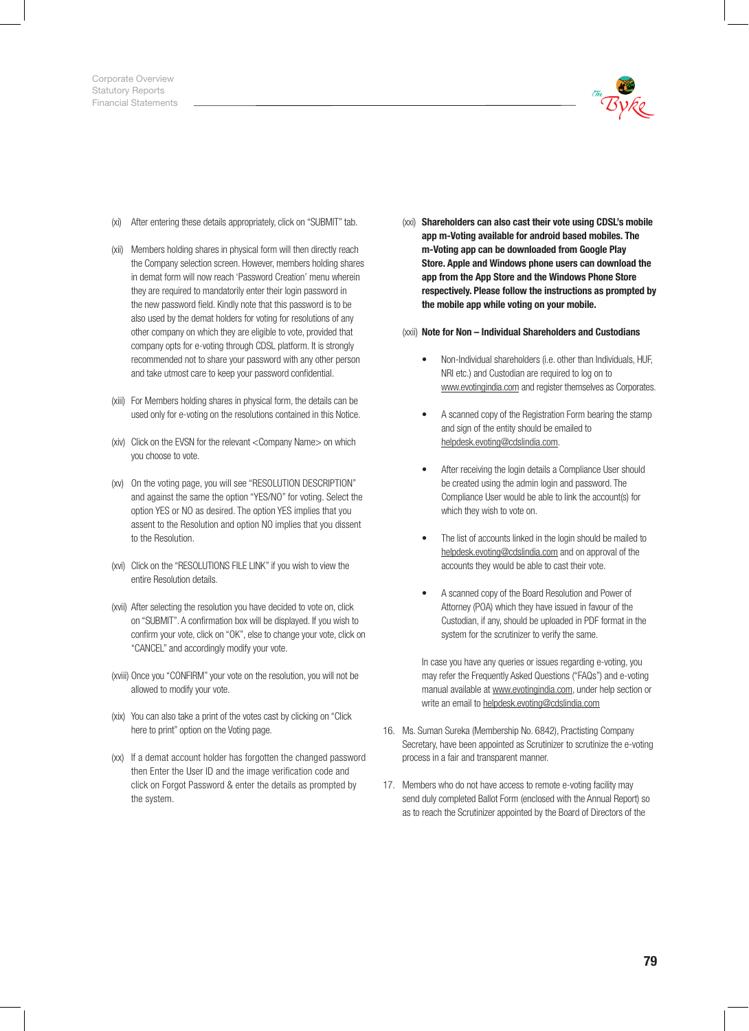

- (xi) After entering these details appropriately, click on "SUBMIT" tab.
- (xii) Members holding shares in physical form will then directly reach the Company selection screen. However, members holding shares in demat form will now reach 'Password Creation' menu wherein they are required to mandatorily enter their login password in the new password field. Kindly note that this password is to be also used by the demat holders for voting for resolutions of any other company on which they are eligible to vote, provided that company opts for e-voting through CDSL platform. It is strongly recommended not to share your password with any other person and take utmost care to keep your password confidential.
- (xiii) For Members holding shares in physical form, the details can be used only for e-voting on the resolutions contained in this Notice.
- (xiv) Click on the EVSN for the relevant <Company Name> on which you choose to vote.
- (xv) On the voting page, you will see "RESOLUTION DESCRIPTION" and against the same the option "YES/NO" for voting. Select the option YES or NO as desired. The option YES implies that you assent to the Resolution and option NO implies that you dissent to the Resolution.
- (xvi) Click on the "RESOLUTIONS FILE LINK" if you wish to view the entire Resolution details.
- (xvii) After selecting the resolution you have decided to vote on, click on "SUBMIT". A confirmation box will be displayed. If you wish to confirm your vote, click on "OK", else to change your vote, click on "CANCEL" and accordingly modify your vote.
- (xviii) Once you "CONFIRM" your vote on the resolution, you will not be allowed to modify your vote.
- (xix) You can also take a print of the votes cast by clicking on "Click here to print" option on the Voting page.
- (xx) If a demat account holder has forgotten the changed password then Enter the User ID and the image verification code and click on Forgot Password & enter the details as prompted by the system.

(xxi) Shareholders can also cast their vote using CDSL's mobile app m-Voting available for android based mobiles. The m-Voting app can be downloaded from Google Play Store. Apple and Windows phone users can download the app from the App Store and the Windows Phone Store respectively. Please follow the instructions as prompted by the mobile app while voting on your mobile.

#### (xxii) Note for Non – Individual Shareholders and Custodians

- Non-Individual shareholders (i.e. other than Individuals, HUF, NRI etc.) and Custodian are required to log on to www.evotingindia.com and register themselves as Corporates.
- A scanned copy of the Registration Form bearing the stamp and sign of the entity should be emailed to helpdesk.evoting@cdslindia.com.
- After receiving the login details a Compliance User should be created using the admin login and password. The Compliance User would be able to link the account(s) for which they wish to vote on.
- The list of accounts linked in the login should be mailed to helpdesk.evoting@cdslindia.com and on approval of the accounts they would be able to cast their vote.
- A scanned copy of the Board Resolution and Power of Attorney (POA) which they have issued in favour of the Custodian, if any, should be uploaded in PDF format in the system for the scrutinizer to verify the same.

 In case you have any queries or issues regarding e-voting, you may refer the Frequently Asked Questions ("FAQs") and e-voting manual available at www.evotingindia.com, under help section or write an email to helpdesk.evoting@cdslindia.com

- 16. Ms. Suman Sureka (Membership No. 6842), Practisting Company Secretary, have been appointed as Scrutinizer to scrutinize the e-voting process in a fair and transparent manner.
- 17. Members who do not have access to remote e-voting facility may send duly completed Ballot Form (enclosed with the Annual Report) so as to reach the Scrutinizer appointed by the Board of Directors of the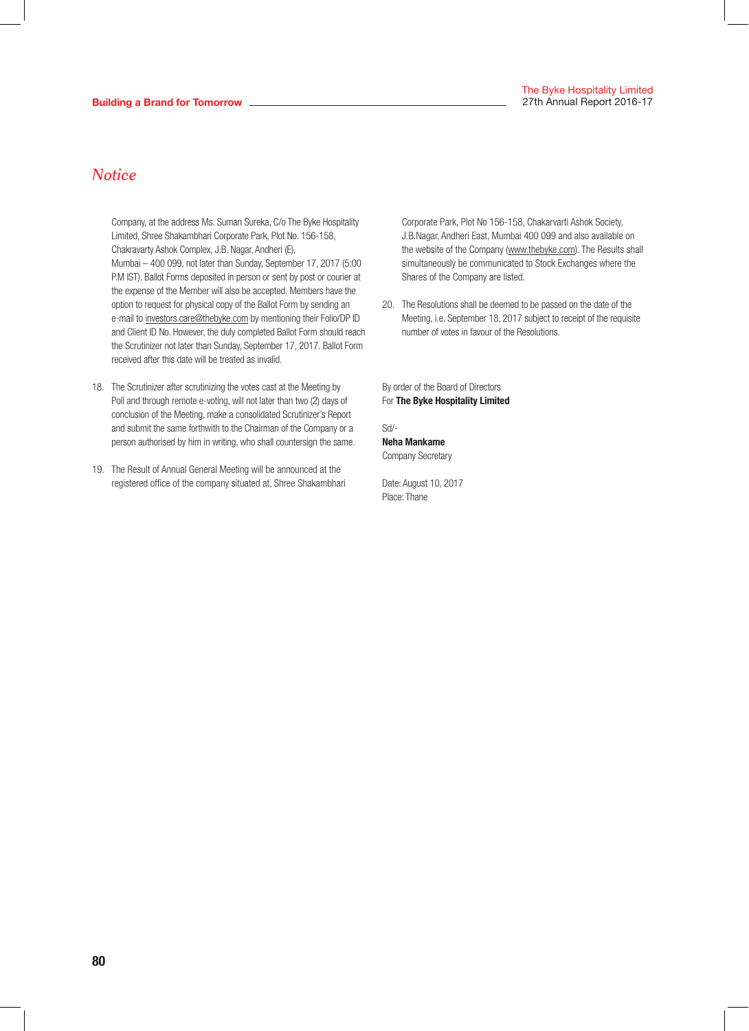Company, at the address Ms. Suman Sureka, C/o The Byke Hospitality Limited, Shree Shakambhari Corporate Park, Plot No. 156-158, Chakravarty Ashok Complex, J.B. Nagar, Andheri (E), Mumbai – 400 099, not later than Sunday, September 17, 2017 (5:00 P.M IST). Ballot Forms deposited in person or sent by post or courier at the expense of the Member will also be accepted. Members have the option to request for physical copy of the Ballot Form by sending an e-mail to investors.care@thebyke.com by mentioning their Folio/DP ID and Client ID No. However, the duly completed Ballot Form should reach the Scrutinizer not later than Sunday, September 17, 2017. Ballot Form received after this date will be treated as invalid.

- 18. The Scrutinizer after scrutinizing the votes cast at the Meeting by Poll and through remote e-voting, will not later than two (2) days of conclusion of the Meeting, make a consolidated Scrutinizer's Report and submit the same forthwith to the Chairman of the Company or a person authorised by him in writing, who shall countersign the same.
- 19. The Result of Annual General Meeting will be announced at the registered office of the company situated at, Shree Shakambhari

Corporate Park, Plot No 156-158, Chakarvarti Ashok Society, J.B.Nagar, Andheri East, Mumbai 400 099 and also available on the website of the Company (www.thebyke.com). The Results shall simultaneously be communicated to Stock Exchanges where the Shares of the Company are listed.

20. The Resolutions shall be deemed to be passed on the date of the Meeting, i.e. September 18, 2017 subject to receipt of the requisite number of votes in favour of the Resolutions.

By order of the Board of Directors For The Byke Hospitality Limited

Sd/- Neha Mankame

Company Secretary

Date: August 10, 2017 Place: Thane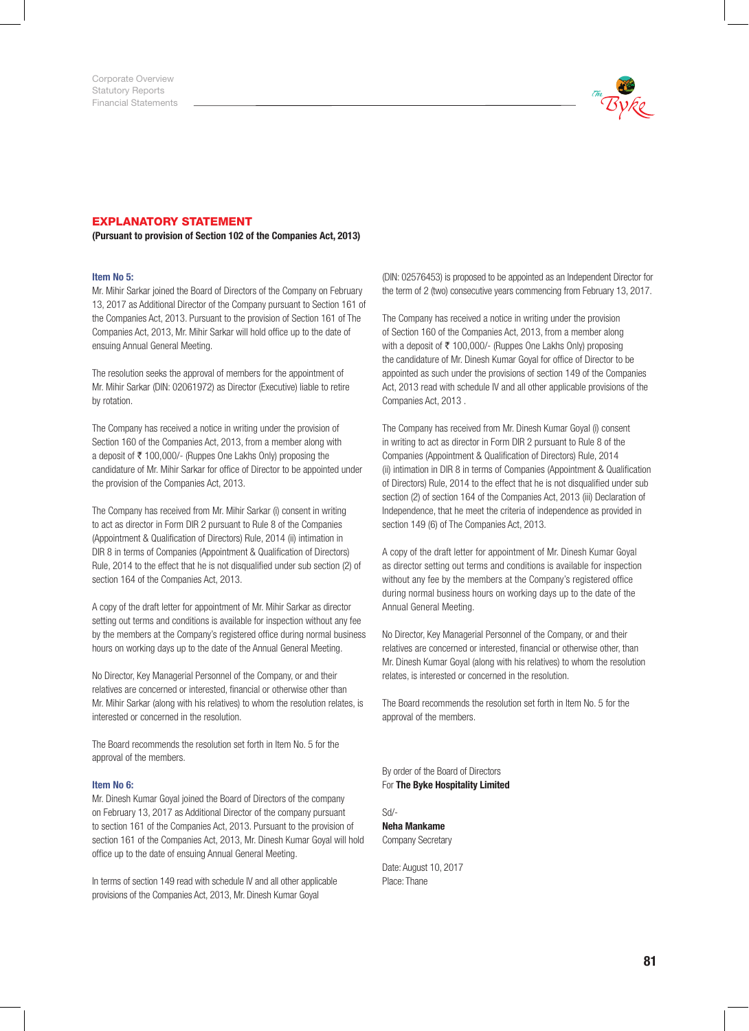

### EXPLANATORY STATEMENT

(Pursuant to provision of Section 102 of the Companies Act, 2013)

#### Item No 5:

Mr. Mihir Sarkar joined the Board of Directors of the Company on February 13, 2017 as Additional Director of the Company pursuant to Section 161 of the Companies Act, 2013. Pursuant to the provision of Section 161 of The Companies Act, 2013, Mr. Mihir Sarkar will hold office up to the date of ensuing Annual General Meeting.

The resolution seeks the approval of members for the appointment of Mr. Mihir Sarkar (DIN: 02061972) as Director (Executive) liable to retire by rotation.

The Company has received a notice in writing under the provision of Section 160 of the Companies Act, 2013, from a member along with a deposit of ₹ 100,000/- (Ruppes One Lakhs Only) proposing the candidature of Mr. Mihir Sarkar for office of Director to be appointed under the provision of the Companies Act, 2013.

The Company has received from Mr. Mihir Sarkar (i) consent in writing to act as director in Form DIR 2 pursuant to Rule 8 of the Companies (Appointment & Qualification of Directors) Rule, 2014 (ii) intimation in DIR 8 in terms of Companies (Appointment & Qualification of Directors) Rule, 2014 to the effect that he is not disqualified under sub section (2) of section 164 of the Companies Act, 2013.

A copy of the draft letter for appointment of Mr. Mihir Sarkar as director setting out terms and conditions is available for inspection without any fee by the members at the Company's registered office during normal business hours on working days up to the date of the Annual General Meeting.

No Director, Key Managerial Personnel of the Company, or and their relatives are concerned or interested, financial or otherwise other than Mr. Mihir Sarkar (along with his relatives) to whom the resolution relates, is interested or concerned in the resolution.

The Board recommends the resolution set forth in Item No. 5 for the approval of the members.

#### Item No 6:

Mr. Dinesh Kumar Goyal joined the Board of Directors of the company on February 13, 2017 as Additional Director of the company pursuant to section 161 of the Companies Act, 2013. Pursuant to the provision of section 161 of the Companies Act, 2013, Mr. Dinesh Kumar Goyal will hold office up to the date of ensuing Annual General Meeting.

In terms of section 149 read with schedule IV and all other applicable provisions of the Companies Act, 2013, Mr. Dinesh Kumar Goyal

(DIN: 02576453) is proposed to be appointed as an Independent Director for the term of 2 (two) consecutive years commencing from February 13, 2017.

The Company has received a notice in writing under the provision of Section 160 of the Companies Act, 2013, from a member along with a deposit of  $\bar{\tau}$  100,000/- (Ruppes One Lakhs Only) proposing the candidature of Mr. Dinesh Kumar Goyal for office of Director to be appointed as such under the provisions of section 149 of the Companies Act, 2013 read with schedule IV and all other applicable provisions of the Companies Act, 2013 .

The Company has received from Mr. Dinesh Kumar Goyal (i) consent in writing to act as director in Form DIR 2 pursuant to Rule 8 of the Companies (Appointment & Qualification of Directors) Rule, 2014 (ii) intimation in DIR 8 in terms of Companies (Appointment & Qualification of Directors) Rule, 2014 to the effect that he is not disqualified under sub section (2) of section 164 of the Companies Act, 2013 (iii) Declaration of Independence, that he meet the criteria of independence as provided in section 149 (6) of The Companies Act, 2013.

A copy of the draft letter for appointment of Mr. Dinesh Kumar Goyal as director setting out terms and conditions is available for inspection without any fee by the members at the Company's registered office during normal business hours on working days up to the date of the Annual General Meeting.

No Director, Key Managerial Personnel of the Company, or and their relatives are concerned or interested, financial or otherwise other, than Mr. Dinesh Kumar Goyal (along with his relatives) to whom the resolution relates, is interested or concerned in the resolution.

The Board recommends the resolution set forth in Item No. 5 for the approval of the members.

By order of the Board of Directors For The Byke Hospitality Limited

Sd/- Neha Mankame Company Secretary

Date: August 10, 2017 Place: Thane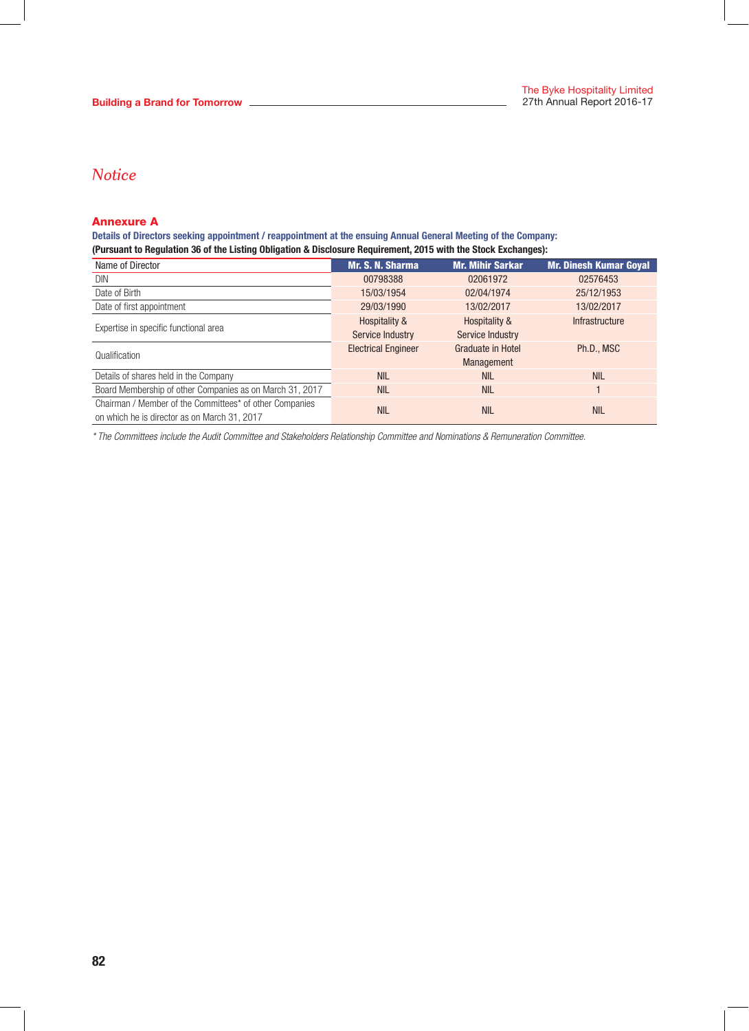## Annexure A

Details of Directors seeking appointment / reappointment at the ensuing Annual General Meeting of the Company: (Pursuant to Regulation 36 of the Listing Obligation & Disclosure Requirement, 2015 with the Stock Exchanges):

| Name of Director                                         | Mr. S. N. Sharma           | <b>Mr. Mihir Sarkar</b>  | <b>Mr. Dinesh Kumar Goyal</b> |  |
|----------------------------------------------------------|----------------------------|--------------------------|-------------------------------|--|
| DIN                                                      | 00798388                   | 02061972                 | 02576453                      |  |
| Date of Birth                                            | 15/03/1954                 | 02/04/1974               | 25/12/1953                    |  |
| Date of first appointment                                | 29/03/1990                 | 13/02/2017               | 13/02/2017                    |  |
|                                                          | Hospitality &              | Hospitality &            | <b>Infrastructure</b>         |  |
| Expertise in specific functional area                    | Service Industry           | Service Industry         |                               |  |
| Qualification                                            | <b>Electrical Engineer</b> | <b>Graduate in Hotel</b> | Ph.D., MSC                    |  |
|                                                          |                            | Management               |                               |  |
| Details of shares held in the Company                    | <b>NIL</b>                 | <b>NIL</b>               | <b>NIL</b>                    |  |
| Board Membership of other Companies as on March 31, 2017 | <b>NIL</b>                 | <b>NIL</b>               |                               |  |
| Chairman / Member of the Committees* of other Companies  | <b>NIL</b>                 | <b>NIL</b>               | <b>NIL</b>                    |  |
| on which he is director as on March 31, 2017             |                            |                          |                               |  |

*\* The Committees include the Audit Committee and Stakeholders Relationship Committee and Nominations & Remuneration Committee.*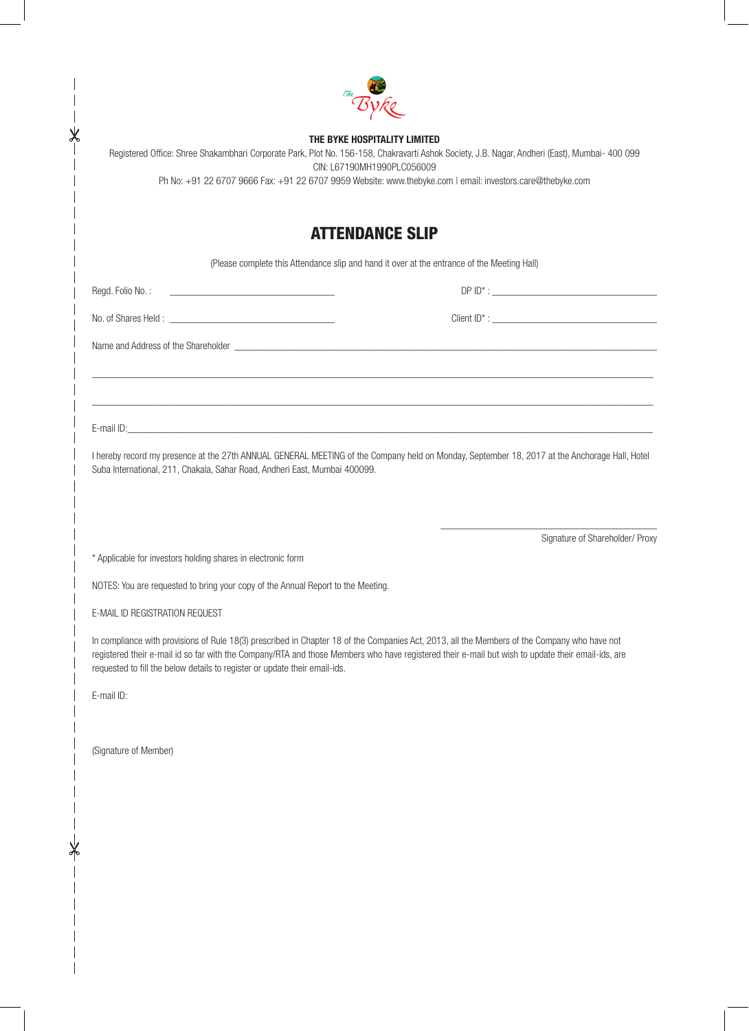|                                                                                  | THE BYKE HOSPITALITY LIMITED<br>Registered Office: Shree Shakambhari Corporate Park, Plot No. 156-158, Chakravarti Ashok Society, J.B. Nagar, Andheri (East), Mumbai- 400 099<br>CIN: L67190MH1990PLC056009<br>Ph No: +91 22 6707 9666 Fax: +91 22 6707 9959 Website: www.thebyke.com   email: investors.care@thebyke.com |
|----------------------------------------------------------------------------------|---------------------------------------------------------------------------------------------------------------------------------------------------------------------------------------------------------------------------------------------------------------------------------------------------------------------------|
|                                                                                  | <b>ATTENDANCE SLIP</b>                                                                                                                                                                                                                                                                                                    |
|                                                                                  | (Please complete this Attendance slip and hand it over at the entrance of the Meeting Hall)                                                                                                                                                                                                                               |
| Regd. Folio No.:                                                                 |                                                                                                                                                                                                                                                                                                                           |
|                                                                                  |                                                                                                                                                                                                                                                                                                                           |
|                                                                                  |                                                                                                                                                                                                                                                                                                                           |
|                                                                                  |                                                                                                                                                                                                                                                                                                                           |
|                                                                                  |                                                                                                                                                                                                                                                                                                                           |
|                                                                                  | I hereby record my presence at the 27th ANNUAL GENERAL MEETING of the Company held on Monday, September 18, 2017 at the Anchorage Hall, Hotel                                                                                                                                                                             |
| Suba International, 211, Chakala, Sahar Road, Andheri East, Mumbai 400099.       |                                                                                                                                                                                                                                                                                                                           |
|                                                                                  | Signature of Shareholder/ Proxy                                                                                                                                                                                                                                                                                           |
| * Applicable for investors holding shares in electronic form                     |                                                                                                                                                                                                                                                                                                                           |
| NOTES: You are requested to bring your copy of the Annual Report to the Meeting. |                                                                                                                                                                                                                                                                                                                           |
| E-MAIL ID REGISTRATION REQUEST                                                   |                                                                                                                                                                                                                                                                                                                           |
| requested to fill the below details to register or update their email-ids.       | In compliance with provisions of Rule 18(3) prescribed in Chapter 18 of the Companies Act, 2013, all the Members of the Company who have not<br>registered their e-mail id so far with the Company/RTA and those Members who have registered their e-mail but wish to update their email-ids, are                         |
| E-mail ID:                                                                       |                                                                                                                                                                                                                                                                                                                           |
|                                                                                  |                                                                                                                                                                                                                                                                                                                           |
| (Signature of Member)                                                            |                                                                                                                                                                                                                                                                                                                           |
|                                                                                  |                                                                                                                                                                                                                                                                                                                           |
|                                                                                  |                                                                                                                                                                                                                                                                                                                           |
|                                                                                  |                                                                                                                                                                                                                                                                                                                           |
|                                                                                  |                                                                                                                                                                                                                                                                                                                           |
|                                                                                  |                                                                                                                                                                                                                                                                                                                           |

**Note** 

 $- - - - - - -$ 

 $\overline{\phantom{a}}$  $\overline{\phantom{a}}$ 

 $\frac{1}{2}$ 

 $\overline{\phantom{a}}$ 

 $\overline{\phantom{a}}$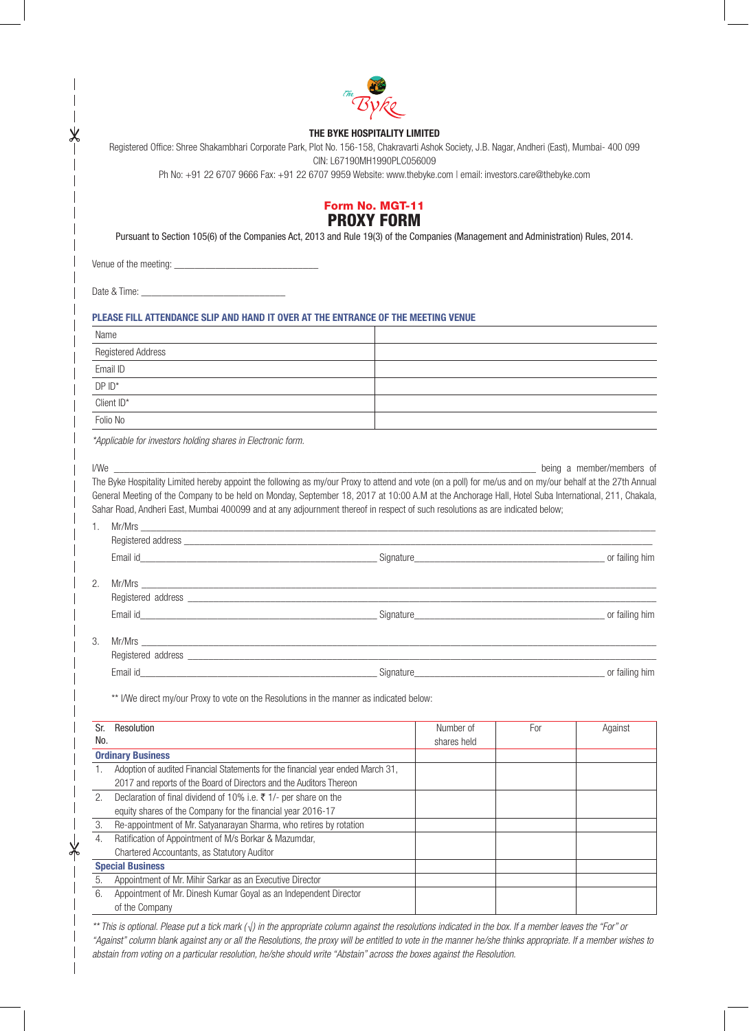

#### THE BYKE HOSPITALITY LIMITED

Registered Office: Shree Shakambhari Corporate Park, Plot No. 156-158, Chakravarti Ashok Society, J.B. Nagar, Andheri (East), Mumbai- 400 099 CIN: L67190MH1990PLC056009

Ph No: +91 22 6707 9666 Fax: +91 22 6707 9959 Website: www.thebyke.com | email: investors.care@thebyke.com

## Form No. MGT-11 PROXY FORM

Pursuant to Section 105(6) of the Companies Act, 2013 and Rule 19(3) of the Companies (Management and Administration) Rules, 2014.

Venue of the meeting: \_\_\_\_\_\_\_\_\_\_\_\_\_\_\_\_\_\_\_\_\_\_\_\_\_\_\_\_

Date & Time: \_\_\_\_\_\_\_\_\_\_\_\_\_\_\_\_\_\_\_\_\_\_\_\_\_\_\_\_

#### PLEASE FILL ATTENDANCE SLIP AND HAND IT OVER AT THE ENTRANCE OF THE MEETING VENUE

| Name               |  |
|--------------------|--|
| Registered Address |  |
| Email ID           |  |
| $DPID^*$           |  |
| Client $ID^*$      |  |
| ___<br>Folio No    |  |

*\*Applicable for investors holding shares in Electronic form.*

I/We \_\_\_\_\_\_\_\_\_\_\_\_\_\_\_\_\_\_\_\_\_\_\_\_\_\_\_\_\_\_\_\_\_\_\_\_\_\_\_\_\_\_\_\_\_\_\_\_\_\_\_\_\_\_\_\_\_\_\_\_\_\_\_\_\_\_\_\_\_\_\_\_\_\_\_\_\_\_\_\_\_\_ being a member/members of The Byke Hospitality Limited hereby appoint the following as my/our Proxy to attend and vote (on a poll) for me/us and on my/our behalf at the 27th Annual General Meeting of the Company to be held on Monday, September 18, 2017 at 10:00 A.M at the Anchorage Hall, Hotel Suba International, 211, Chakala, Sahar Road, Andheri East, Mumbai 400099 and at any adjournment thereof in respect of such resolutions as are indicated below;

|    | $Mr/Mrs$ $\overline{\phantom{rr}}$                                                                                                                                                                                            |                |
|----|-------------------------------------------------------------------------------------------------------------------------------------------------------------------------------------------------------------------------------|----------------|
|    |                                                                                                                                                                                                                               |                |
|    |                                                                                                                                                                                                                               | or failing him |
| 2. |                                                                                                                                                                                                                               |                |
|    |                                                                                                                                                                                                                               |                |
|    |                                                                                                                                                                                                                               | or failing him |
| 3. | $Mr/Mrs$ $\overline{\phantom{rr}}$                                                                                                                                                                                            |                |
|    | Reqistered address and the state of the state of the state of the state of the state of the state of the state of the state of the state of the state of the state of the state of the state of the state of the state of the |                |
|    |                                                                                                                                                                                                                               | or failing him |

\*\* I/We direct my/our Proxy to vote on the Resolutions in the manner as indicated below:

| Sr.                     | Resolution                                                                      | Number of   | For | Against |
|-------------------------|---------------------------------------------------------------------------------|-------------|-----|---------|
| No.                     |                                                                                 | shares held |     |         |
|                         | <b>Ordinary Business</b>                                                        |             |     |         |
|                         | Adoption of audited Financial Statements for the financial year ended March 31, |             |     |         |
|                         | 2017 and reports of the Board of Directors and the Auditors Thereon             |             |     |         |
| 2.                      | Declaration of final dividend of 10% i.e. ₹ 1/- per share on the                |             |     |         |
|                         | equity shares of the Company for the financial year 2016-17                     |             |     |         |
| 3.                      | Re-appointment of Mr. Satyanarayan Sharma, who retires by rotation              |             |     |         |
| 4.                      | Ratification of Appointment of M/s Borkar & Mazumdar,                           |             |     |         |
|                         | Chartered Accountants, as Statutory Auditor                                     |             |     |         |
| <b>Special Business</b> |                                                                                 |             |     |         |
| 5.                      | Appointment of Mr. Mihir Sarkar as an Executive Director                        |             |     |         |
| 6.                      | Appointment of Mr. Dinesh Kumar Goyal as an Independent Director                |             |     |         |
|                         | of the Company                                                                  |             |     |         |

*\*\* This is optional. Please put a tick mark (√) in the appropriate column against the resolutions indicated in the box. If a member leaves the "For" or "Against" column blank against any or all the Resolutions, the proxy will be entitled to vote in the manner he/she thinks appropriate. If a member wishes to abstain from voting on a particular resolution, he/she should write "Abstain" across the boxes against the Resolution.*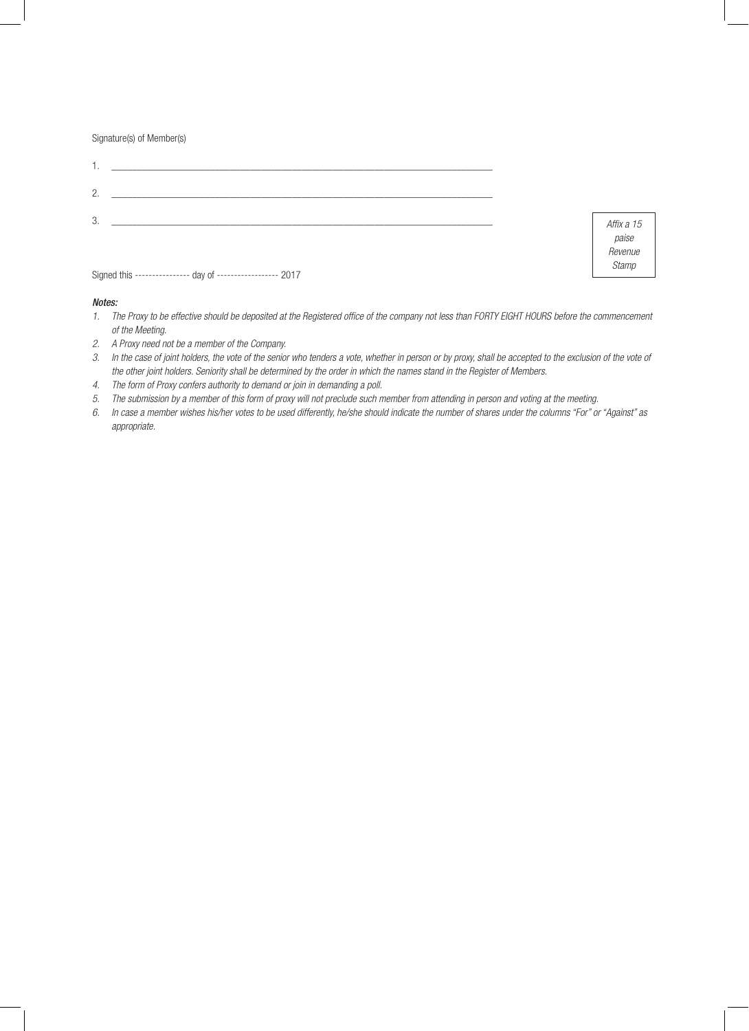Signature(s) of Member(s)

| <u> 1980 - John Stein, Amerikaansk politiker († 1950)</u>       |                                                |
|-----------------------------------------------------------------|------------------------------------------------|
| $\overline{2}$ .                                                |                                                |
| 3.<br>Signed this --------------- day of ----------------- 2017 | Affix a 15<br>paise<br>Revenue<br><b>Stamp</b> |

#### *Notes:*

| The Proxy to be effective should be deposited at the Registered office of the company not less than FORTY EIGHT HOURS before the commencement |
|-----------------------------------------------------------------------------------------------------------------------------------------------|
| of the Meeting.                                                                                                                               |

- *2. A Proxy need not be a member of the Company.*
- *3. In the case of joint holders, the vote of the senior who tenders a vote, whether in person or by proxy, shall be accepted to the exclusion of the vote of the other joint holders. Seniority shall be determined by the order in which the names stand in the Register of Members.*
- *4. The form of Proxy confers authority to demand or join in demanding a poll.*
- *5. The submission by a member of this form of proxy will not preclude such member from attending in person and voting at the meeting.*
- *6. In case a member wishes his/her votes to be used differently, he/she should indicate the number of shares under the columns "For" or "Against" as appropriate.*